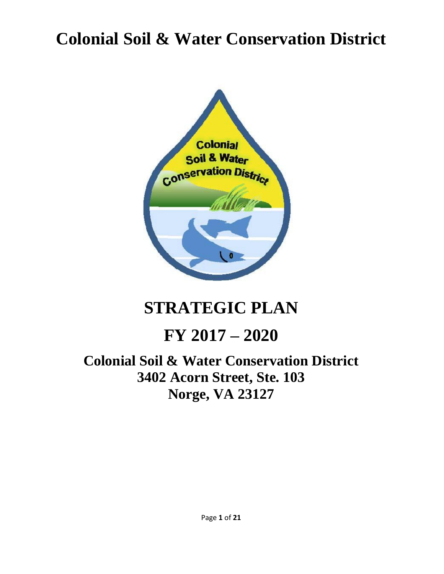# **Colonial Soil & Water Conservation District**



# **STRATEGIC PLAN**

## **FY 2017 – 2020**

## **Colonial Soil & Water Conservation District 3402 Acorn Street, Ste. 103 Norge, VA 23127**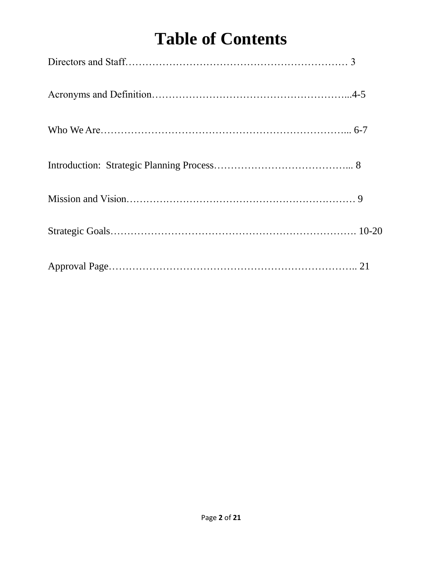# **Table of Contents**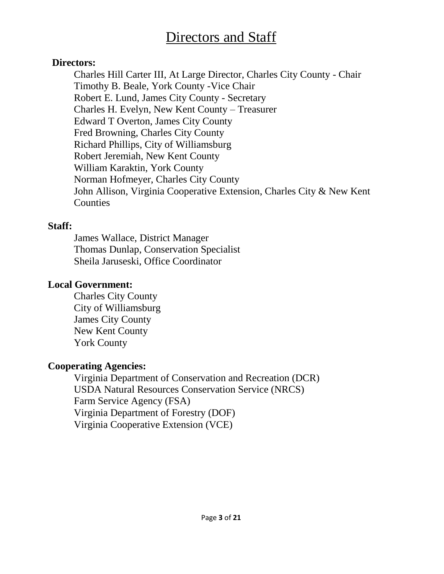## Directors and Staff

#### **Directors:**

Charles Hill Carter III, At Large Director, Charles City County - Chair Timothy B. Beale, York County -Vice Chair Robert E. Lund, James City County - Secretary Charles H. Evelyn, New Kent County – Treasurer Edward T Overton, James City County Fred Browning, Charles City County Richard Phillips, City of Williamsburg Robert Jeremiah, New Kent County William Karaktin, York County Norman Hofmeyer, Charles City County John Allison, Virginia Cooperative Extension, Charles City & New Kent **Counties** 

#### **Staff:**

James Wallace, District Manager Thomas Dunlap, Conservation Specialist Sheila Jaruseski, Office Coordinator

#### **Local Government:**

Charles City County City of Williamsburg James City County New Kent County York County

#### **Cooperating Agencies:**

Virginia Department of Conservation and Recreation (DCR) USDA Natural Resources Conservation Service (NRCS) Farm Service Agency (FSA) Virginia Department of Forestry (DOF) Virginia Cooperative Extension (VCE)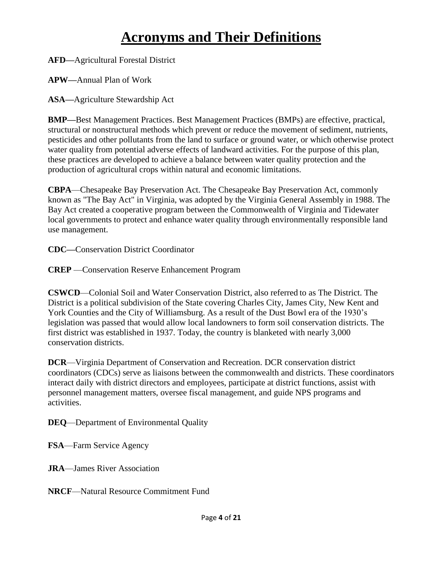## **Acronyms and Their Definitions**

**AFD—**Agricultural Forestal District

**APW—**Annual Plan of Work

**ASA—**Agriculture Stewardship Act

**BMP—**Best Management Practices. Best Management Practices (BMPs) are effective, practical, structural or nonstructural methods which prevent or reduce the movement of sediment, nutrients, pesticides and other pollutants from the land to surface or ground water, or which otherwise protect water quality from potential adverse effects of landward activities. For the purpose of this plan, these practices are developed to achieve a balance between water quality protection and the production of agricultural crops within natural and economic limitations.

**CBPA**—Chesapeake Bay Preservation Act. The Chesapeake Bay Preservation Act, commonly known as "The Bay Act" in Virginia, was adopted by the Virginia General Assembly in 1988. The Bay Act created a cooperative program between the Commonwealth of Virginia and Tidewater local governments to protect and enhance water quality through environmentally responsible land use management.

**CDC—**Conservation District Coordinator

**CREP** —Conservation Reserve Enhancement Program

**CSWCD**—Colonial Soil and Water Conservation District, also referred to as The District. The District is a political subdivision of the State covering Charles City, James City, New Kent and York Counties and the City of Williamsburg. As a result of the Dust Bowl era of the 1930's legislation was passed that would allow local landowners to form soil conservation districts. The first district was established in 1937. Today, the country is blanketed with nearly 3,000 conservation districts.

**DCR**—Virginia Department of Conservation and Recreation. DCR conservation district coordinators (CDCs) serve as liaisons between the commonwealth and districts. These coordinators interact daily with district directors and employees, participate at district functions, assist with personnel management matters, oversee fiscal management, and guide NPS programs and activities.

**DEQ**—Department of Environmental Quality

**FSA**—Farm Service Agency

**JRA**—James River Association

**NRCF**—Natural Resource Commitment Fund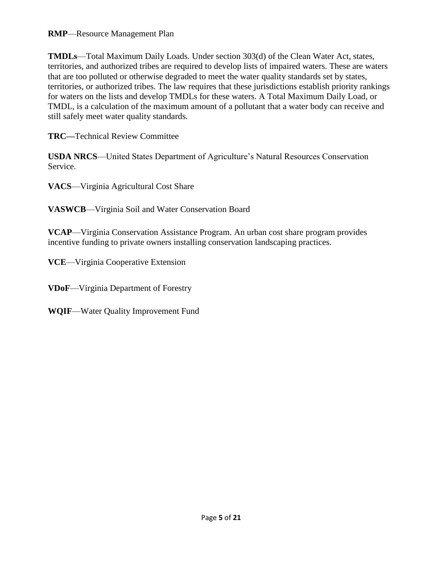#### **RMP**—Resource Management Plan

**TMDLs**—Total Maximum Daily Loads. Under section 303(d) of the Clean Water Act, states, territories, and authorized tribes are required to develop lists of impaired waters. These are waters that are too polluted or otherwise degraded to meet the water quality standards set by states, territories, or authorized tribes. The law requires that these jurisdictions establish priority rankings for waters on the lists and develop TMDLs for these waters. A Total Maximum Daily Load, or TMDL, is a calculation of the maximum amount of a pollutant that a water body can receive and still safely meet water quality standards.

**TRC—**Technical Review Committee

**USDA NRCS**—United States Department of Agriculture's Natural Resources Conservation Service.

**VACS**—Virginia Agricultural Cost Share

**VASWCB**—Virginia Soil and Water Conservation Board

**VCAP**—Virginia Conservation Assistance Program. An urban cost share program provides incentive funding to private owners installing conservation landscaping practices.

**VCE**—Virginia Cooperative Extension

**VDoF**—Virginia Department of Forestry

**WQIF**—Water Quality Improvement Fund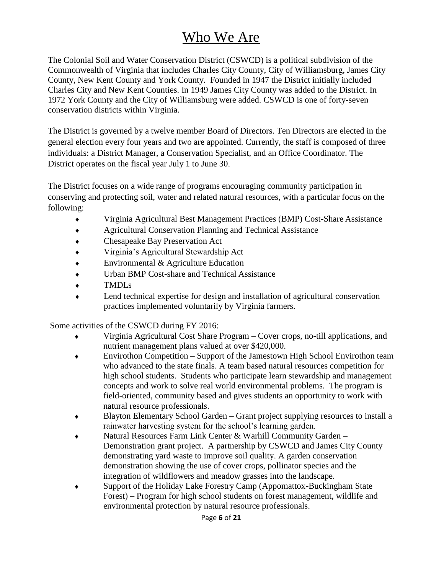## Who We Are

The Colonial Soil and Water Conservation District (CSWCD) is a political subdivision of the Commonwealth of Virginia that includes Charles City County, City of Williamsburg, James City County, New Kent County and York County. Founded in 1947 the District initially included Charles City and New Kent Counties. In 1949 James City County was added to the District. In 1972 York County and the City of Williamsburg were added. CSWCD is one of forty-seven conservation districts within Virginia.

The District is governed by a twelve member Board of Directors. Ten Directors are elected in the general election every four years and two are appointed. Currently, the staff is composed of three individuals: a District Manager, a Conservation Specialist, and an Office Coordinator. The District operates on the fiscal year July 1 to June 30.

The District focuses on a wide range of programs encouraging community participation in conserving and protecting soil, water and related natural resources, with a particular focus on the following:

- Virginia Agricultural Best Management Practices (BMP) Cost-Share Assistance
- Agricultural Conservation Planning and Technical Assistance
- Chesapeake Bay Preservation Act
- Virginia's Agricultural Stewardship Act
- ◆ Environmental & Agriculture Education
- Urban BMP Cost-share and Technical Assistance
- TMDLs
- Lend technical expertise for design and installation of agricultural conservation practices implemented voluntarily by Virginia farmers.

Some activities of the CSWCD during FY 2016:

- Virginia Agricultural Cost Share Program Cover crops, no-till applications, and nutrient management plans valued at over \$420,000.
- Envirothon Competition Support of the Jamestown High School Envirothon team who advanced to the state finals. A team based natural resources competition for high school students. Students who participate learn stewardship and management concepts and work to solve real world environmental problems. The program is field-oriented, community based and gives students an opportunity to work with natural resource professionals.
- Blayton Elementary School Garden Grant project supplying resources to install a rainwater harvesting system for the school's learning garden.
- Natural Resources Farm Link Center & Warhill Community Garden Demonstration grant project. A partnership by CSWCD and James City County demonstrating yard waste to improve soil quality. A garden conservation demonstration showing the use of cover crops, pollinator species and the integration of wildflowers and meadow grasses into the landscape.
- Support of the Holiday Lake Forestry Camp (Appomattox-Buckingham State Forest) – Program for high school students on forest management, wildlife and environmental protection by natural resource professionals.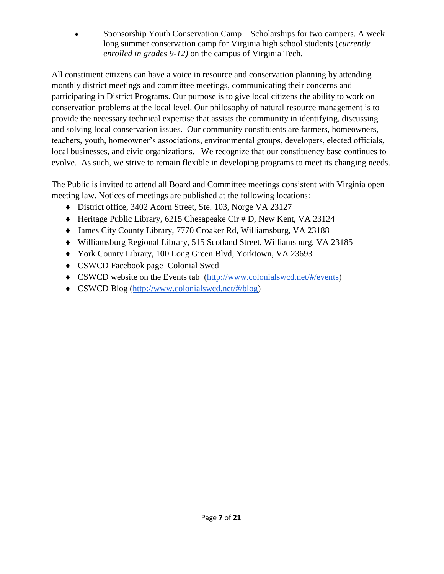Sponsorship Youth Conservation Camp – Scholarships for two campers. A week long summer conservation camp for Virginia high school students (*currently enrolled in grades 9-12)* on the campus of Virginia Tech.

All constituent citizens can have a voice in resource and conservation planning by attending monthly district meetings and committee meetings, communicating their concerns and participating in District Programs. Our purpose is to give local citizens the ability to work on conservation problems at the local level. Our philosophy of natural resource management is to provide the necessary technical expertise that assists the community in identifying, discussing and solving local conservation issues. Our community constituents are farmers, homeowners, teachers, youth, homeowner's associations, environmental groups, developers, elected officials, local businesses, and civic organizations. We recognize that our constituency base continues to evolve. As such, we strive to remain flexible in developing programs to meet its changing needs.

The Public is invited to attend all Board and Committee meetings consistent with Virginia open meeting law. Notices of meetings are published at the following locations:

- District office, 3402 Acorn Street, Ste. 103, Norge VA 23127
- Heritage Public Library, 6215 Chesapeake Cir # D, New Kent, VA 23124
- James City County Library, 7770 Croaker Rd, Williamsburg, VA 23188
- Williamsburg Regional Library, 515 Scotland Street, Williamsburg, VA 23185
- York County Library, 100 Long Green Blvd, Yorktown, VA 23693
- ◆ CSWCD Facebook page–Colonial Swcd
- CSWCD website on the Events tab [\(http://www.colonialswcd.net/#/events\)](http://www.colonialswcd.net/#/events)
- CSWCD Blog [\(http://www.colonialswcd.net/#/blog\)](http://www.colonialswcd.net/#/blog)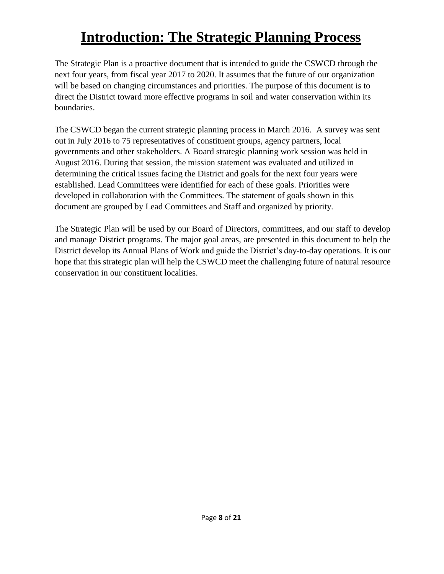## **Introduction: The Strategic Planning Process**

The Strategic Plan is a proactive document that is intended to guide the CSWCD through the next four years, from fiscal year 2017 to 2020. It assumes that the future of our organization will be based on changing circumstances and priorities. The purpose of this document is to direct the District toward more effective programs in soil and water conservation within its boundaries.

The CSWCD began the current strategic planning process in March 2016. A survey was sent out in July 2016 to 75 representatives of constituent groups, agency partners, local governments and other stakeholders. A Board strategic planning work session was held in August 2016. During that session, the mission statement was evaluated and utilized in determining the critical issues facing the District and goals for the next four years were established. Lead Committees were identified for each of these goals. Priorities were developed in collaboration with the Committees. The statement of goals shown in this document are grouped by Lead Committees and Staff and organized by priority.

The Strategic Plan will be used by our Board of Directors, committees, and our staff to develop and manage District programs. The major goal areas, are presented in this document to help the District develop its Annual Plans of Work and guide the District's day-to-day operations. It is our hope that this strategic plan will help the CSWCD meet the challenging future of natural resource conservation in our constituent localities.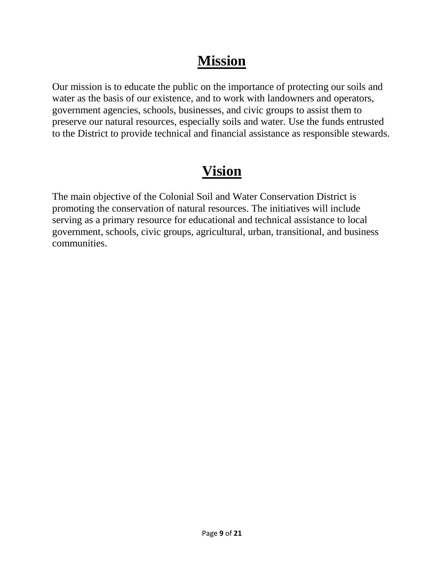## **Mission**

Our mission is to educate the public on the importance of protecting our soils and water as the basis of our existence, and to work with landowners and operators, government agencies, schools, businesses, and civic groups to assist them to preserve our natural resources, especially soils and water. Use the funds entrusted to the District to provide technical and financial assistance as responsible stewards.

## **Vision**

The main objective of the Colonial Soil and Water Conservation District is promoting the conservation of natural resources. The initiatives will include serving as a primary resource for educational and technical assistance to local government, schools, civic groups, agricultural, urban, transitional, and business communities.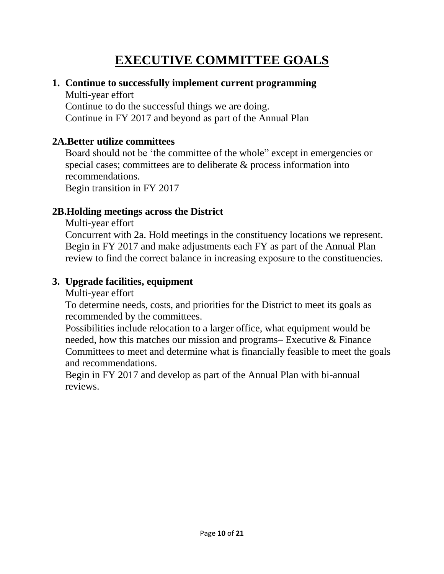## **EXECUTIVE COMMITTEE GOALS**

#### **1. Continue to successfully implement current programming**

Multi-year effort Continue to do the successful things we are doing. Continue in FY 2017 and beyond as part of the Annual Plan

#### **2A.Better utilize committees**

Board should not be 'the committee of the whole" except in emergencies or special cases; committees are to deliberate & process information into recommendations. Begin transition in FY 2017

#### **2B.Holding meetings across the District**

Multi-year effort

Concurrent with 2a. Hold meetings in the constituency locations we represent. Begin in FY 2017 and make adjustments each FY as part of the Annual Plan review to find the correct balance in increasing exposure to the constituencies.

#### **3. Upgrade facilities, equipment**

Multi-year effort

To determine needs, costs, and priorities for the District to meet its goals as recommended by the committees.

Possibilities include relocation to a larger office, what equipment would be needed, how this matches our mission and programs– Executive & Finance Committees to meet and determine what is financially feasible to meet the goals and recommendations.

Begin in FY 2017 and develop as part of the Annual Plan with bi-annual reviews.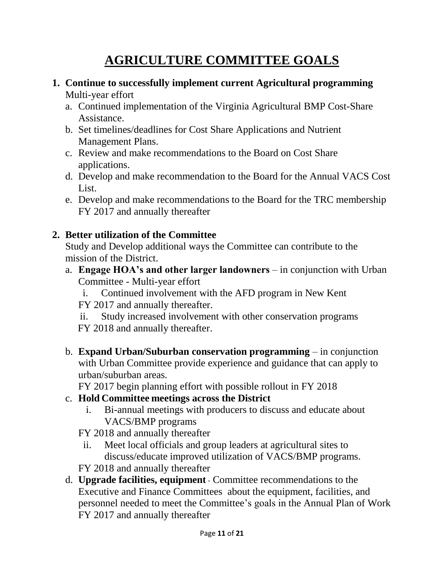## **AGRICULTURE COMMITTEE GOALS**

#### **1. Continue to successfully implement current Agricultural programming** Multi-year effort

- a. Continued implementation of the Virginia Agricultural BMP Cost-Share Assistance.
- b. Set timelines/deadlines for Cost Share Applications and Nutrient Management Plans.
- c. Review and make recommendations to the Board on Cost Share applications.
- d. Develop and make recommendation to the Board for the Annual VACS Cost List.
- e. Develop and make recommendations to the Board for the TRC membership FY 2017 and annually thereafter

#### **2. Better utilization of the Committee**

Study and Develop additional ways the Committee can contribute to the mission of the District.

- a. **Engage HOA's and other larger landowners** in conjunction with Urban Committee - Multi-year effort
	- i. Continued involvement with the AFD program in New Kent FY 2017 and annually thereafter.
	- ii. Study increased involvement with other conservation programs FY 2018 and annually thereafter.
- b. **Expand Urban/Suburban conservation programming** in conjunction with Urban Committee provide experience and guidance that can apply to urban/suburban areas.

FY 2017 begin planning effort with possible rollout in FY 2018

#### c. **Hold Committee meetings across the District**

i. Bi-annual meetings with producers to discuss and educate about VACS/BMP programs

FY 2018 and annually thereafter

ii. Meet local officials and group leaders at agricultural sites to discuss/educate improved utilization of VACS/BMP programs.

FY 2018 and annually thereafter

d. **Upgrade facilities, equipment** - Committee recommendations to the Executive and Finance Committees about the equipment, facilities, and personnel needed to meet the Committee's goals in the Annual Plan of Work FY 2017 and annually thereafter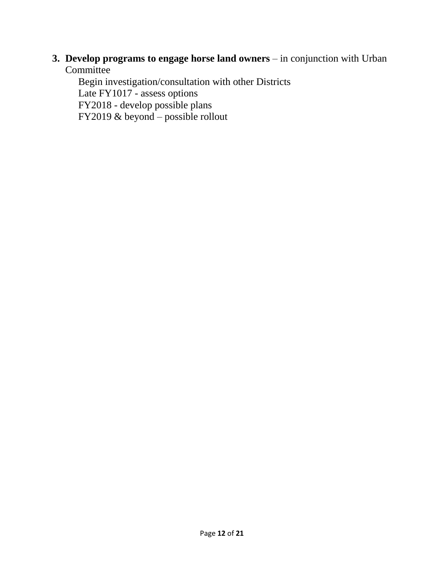#### **3. Develop programs to engage horse land owners** – in conjunction with Urban **Committee**

Begin investigation/consultation with other Districts Late FY1017 - assess options FY2018 - develop possible plans FY2019 & beyond – possible rollout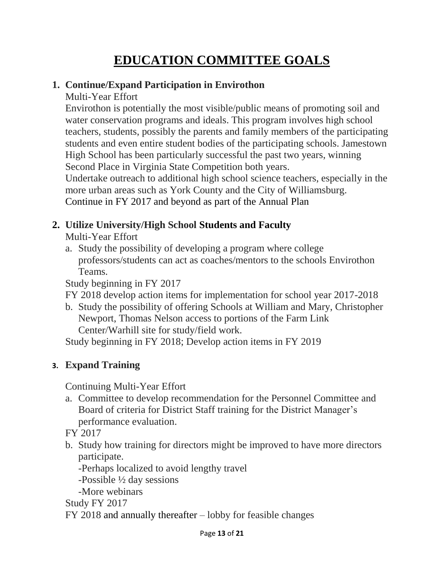## **EDUCATION COMMITTEE GOALS**

#### **1. Continue/Expand Participation in Envirothon**

Multi-Year Effort

Envirothon is potentially the most visible/public means of promoting soil and water conservation programs and ideals. This program involves high school teachers, students, possibly the parents and family members of the participating students and even entire student bodies of the participating schools. Jamestown High School has been particularly successful the past two years, winning Second Place in Virginia State Competition both years.

Undertake outreach to additional high school science teachers, especially in the more urban areas such as York County and the City of Williamsburg. Continue in FY 2017 and beyond as part of the Annual Plan

#### **2. Utilize University/High School Students and Faculty**

Multi-Year Effort

a. Study the possibility of developing a program where college professors/students can act as coaches/mentors to the schools Envirothon Teams.

Study beginning in FY 2017

FY 2018 develop action items for implementation for school year 2017-2018

b. Study the possibility of offering Schools at William and Mary, Christopher Newport, Thomas Nelson access to portions of the Farm Link Center/Warhill site for study/field work.

Study beginning in FY 2018; Develop action items in FY 2019

#### **3. Expand Training**

Continuing Multi-Year Effort

a. Committee to develop recommendation for the Personnel Committee and Board of criteria for District Staff training for the District Manager's performance evaluation.

FY 2017

b. Study how training for directors might be improved to have more directors participate.

-Perhaps localized to avoid lengthy travel

-Possible ½ day sessions

-More webinars

Study FY 2017

FY 2018 and annually thereafter – lobby for feasible changes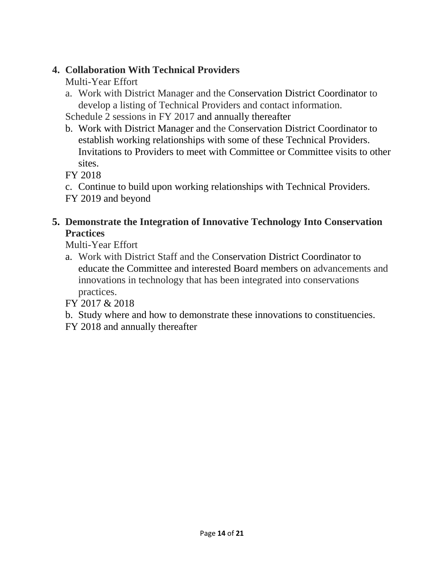#### **4. Collaboration With Technical Providers**

#### Multi-Year Effort

a. Work with District Manager and the Conservation District Coordinator to develop a listing of Technical Providers and contact information.

Schedule 2 sessions in FY 2017 and annually thereafter

b. Work with District Manager and the Conservation District Coordinator to establish working relationships with some of these Technical Providers. Invitations to Providers to meet with Committee or Committee visits to other sites.

FY 2018

c. Continue to build upon working relationships with Technical Providers. FY 2019 and beyond

#### **5. Demonstrate the Integration of Innovative Technology Into Conservation Practices**

Multi-Year Effort

a. Work with District Staff and the Conservation District Coordinator to educate the Committee and interested Board members on advancements and innovations in technology that has been integrated into conservations practices.

FY 2017 & 2018

b. Study where and how to demonstrate these innovations to constituencies.

FY 2018 and annually thereafter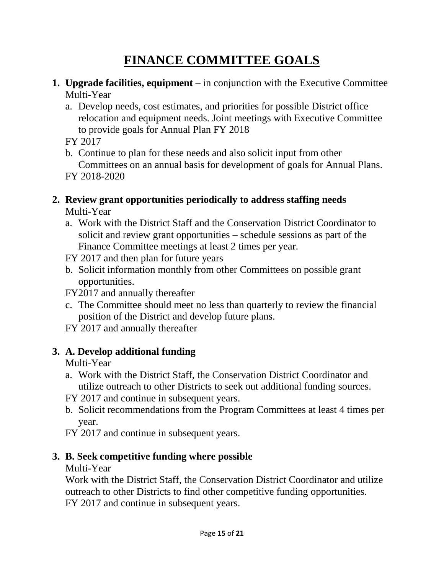## **FINANCE COMMITTEE GOALS**

- **1. Upgrade facilities, equipment** in conjunction with the Executive Committee Multi-Year
	- a. Develop needs, cost estimates, and priorities for possible District office relocation and equipment needs. Joint meetings with Executive Committee to provide goals for Annual Plan FY 2018
	- FY 2017
	- b. Continue to plan for these needs and also solicit input from other Committees on an annual basis for development of goals for Annual Plans. FY 2018-2020
- **2. Review grant opportunities periodically to address staffing needs** Multi-Year
	- a. Work with the District Staff and the Conservation District Coordinator to solicit and review grant opportunities – schedule sessions as part of the Finance Committee meetings at least 2 times per year.
	- FY 2017 and then plan for future years
	- b. Solicit information monthly from other Committees on possible grant opportunities.

FY2017 and annually thereafter

- c. The Committee should meet no less than quarterly to review the financial position of the District and develop future plans.
- FY 2017 and annually thereafter

#### **3. A. Develop additional funding**

Multi-Year

- a. Work with the District Staff, the Conservation District Coordinator and utilize outreach to other Districts to seek out additional funding sources.
- FY 2017 and continue in subsequent years.
- b. Solicit recommendations from the Program Committees at least 4 times per year.
- FY 2017 and continue in subsequent years.

#### **3. B. Seek competitive funding where possible**

Multi-Year

Work with the District Staff, the Conservation District Coordinator and utilize outreach to other Districts to find other competitive funding opportunities. FY 2017 and continue in subsequent years.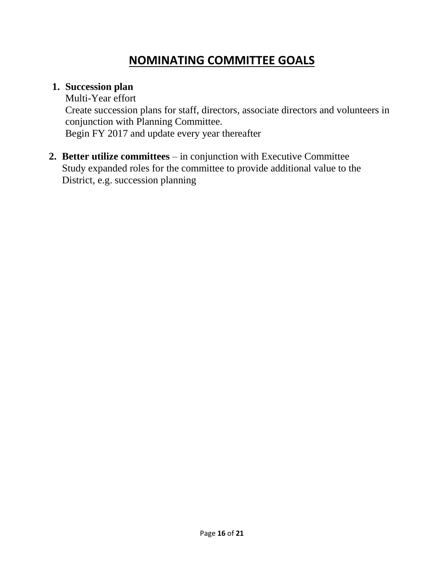### **NOMINATING COMMITTEE GOALS**

#### **1. Succession plan**

Multi-Year effort Create succession plans for staff, directors, associate directors and volunteers in conjunction with Planning Committee. Begin FY 2017 and update every year thereafter

**2. Better utilize committees** – in conjunction with Executive Committee Study expanded roles for the committee to provide additional value to the District, e.g. succession planning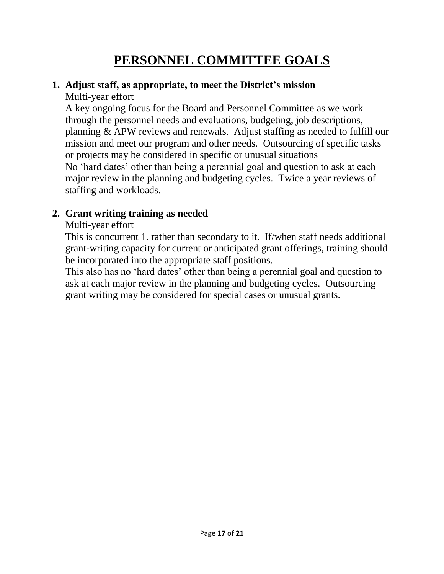### **PERSONNEL COMMITTEE GOALS**

#### **1. Adjust staff, as appropriate, to meet the District's mission** Multi-year effort

A key ongoing focus for the Board and Personnel Committee as we work through the personnel needs and evaluations, budgeting, job descriptions, planning & APW reviews and renewals. Adjust staffing as needed to fulfill our mission and meet our program and other needs. Outsourcing of specific tasks or projects may be considered in specific or unusual situations No 'hard dates' other than being a perennial goal and question to ask at each major review in the planning and budgeting cycles. Twice a year reviews of staffing and workloads.

#### **2. Grant writing training as needed**

#### Multi-year effort

This is concurrent 1. rather than secondary to it. If/when staff needs additional grant-writing capacity for current or anticipated grant offerings, training should be incorporated into the appropriate staff positions.

This also has no 'hard dates' other than being a perennial goal and question to ask at each major review in the planning and budgeting cycles. Outsourcing grant writing may be considered for special cases or unusual grants.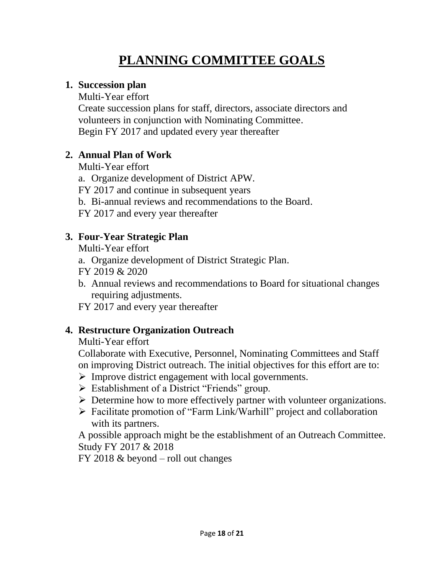## **PLANNING COMMITTEE GOALS**

#### **1. Succession plan**

Multi-Year effort

Create succession plans for staff, directors, associate directors and volunteers in conjunction with Nominating Committee. Begin FY 2017 and updated every year thereafter

#### **2. Annual Plan of Work**

Multi-Year effort

a. Organize development of District APW.

FY 2017 and continue in subsequent years

b. Bi-annual reviews and recommendations to the Board.

FY 2017 and every year thereafter

#### **3. Four-Year Strategic Plan**

Multi-Year effort

a. Organize development of District Strategic Plan.

FY 2019 & 2020

b. Annual reviews and recommendations to Board for situational changes requiring adjustments.

FY 2017 and every year thereafter

#### **4. Restructure Organization Outreach**

Multi-Year effort

Collaborate with Executive, Personnel, Nominating Committees and Staff on improving District outreach. The initial objectives for this effort are to:

- ➢ Improve district engagement with local governments.
- $\triangleright$  Establishment of a District "Friends" group.
- ➢ Determine how to more effectively partner with volunteer organizations.
- ➢ Facilitate promotion of "Farm Link/Warhill" project and collaboration with its partners.

A possible approach might be the establishment of an Outreach Committee. Study FY 2017 & 2018

FY 2018 & beyond – roll out changes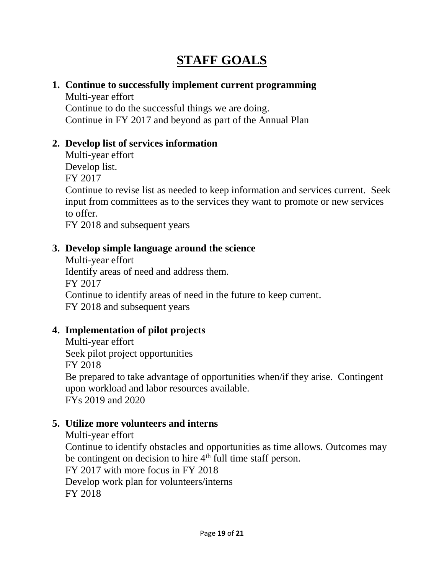### **STAFF GOALS**

#### **1. Continue to successfully implement current programming**

Multi-year effort Continue to do the successful things we are doing. Continue in FY 2017 and beyond as part of the Annual Plan

#### **2. Develop list of services information**

Multi-year effort Develop list. FY 2017 Continue to revise list as needed to keep information and services current. Seek input from committees as to the services they want to promote or new services to offer.

FY 2018 and subsequent years

#### **3. Develop simple language around the science**

Multi-year effort Identify areas of need and address them. FY 2017 Continue to identify areas of need in the future to keep current. FY 2018 and subsequent years

#### **4. Implementation of pilot projects**

Multi-year effort Seek pilot project opportunities FY 2018 Be prepared to take advantage of opportunities when/if they arise. Contingent upon workload and labor resources available. FYs 2019 and 2020

#### **5. Utilize more volunteers and interns**

Multi-year effort Continue to identify obstacles and opportunities as time allows. Outcomes may be contingent on decision to hire 4<sup>th</sup> full time staff person. FY 2017 with more focus in FY 2018 Develop work plan for volunteers/interns FY 2018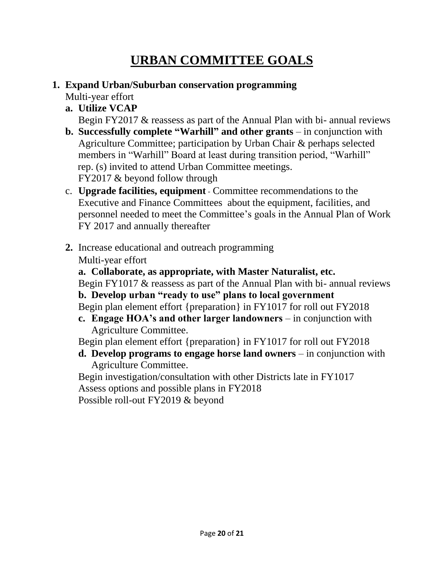## **URBAN COMMITTEE GOALS**

#### **1. Expand Urban/Suburban conservation programming**

Multi-year effort

**a. Utilize VCAP**

Begin FY2017 & reassess as part of the Annual Plan with bi- annual reviews

- **b. Successfully complete "Warhill" and other grants** in conjunction with Agriculture Committee; participation by Urban Chair & perhaps selected members in "Warhill" Board at least during transition period, "Warhill" rep. (s) invited to attend Urban Committee meetings. FY2017 & beyond follow through
- c. **Upgrade facilities, equipment** Committee recommendations to the Executive and Finance Committees about the equipment, facilities, and personnel needed to meet the Committee's goals in the Annual Plan of Work FY 2017 and annually thereafter
- **2.** Increase educational and outreach programming Multi-year effort
	- **a. Collaborate, as appropriate, with Master Naturalist, etc.**

Begin FY1017 & reassess as part of the Annual Plan with bi- annual reviews **b. Develop urban "ready to use" plans to local government**

- Begin plan element effort {preparation} in FY1017 for roll out FY2018
- **c. Engage HOA's and other larger landowners**  in conjunction with Agriculture Committee.

Begin plan element effort {preparation} in FY1017 for roll out FY2018

**d. Develop programs to engage horse land owners** – in conjunction with Agriculture Committee.

Begin investigation/consultation with other Districts late in FY1017 Assess options and possible plans in FY2018 Possible roll-out FY2019 & beyond